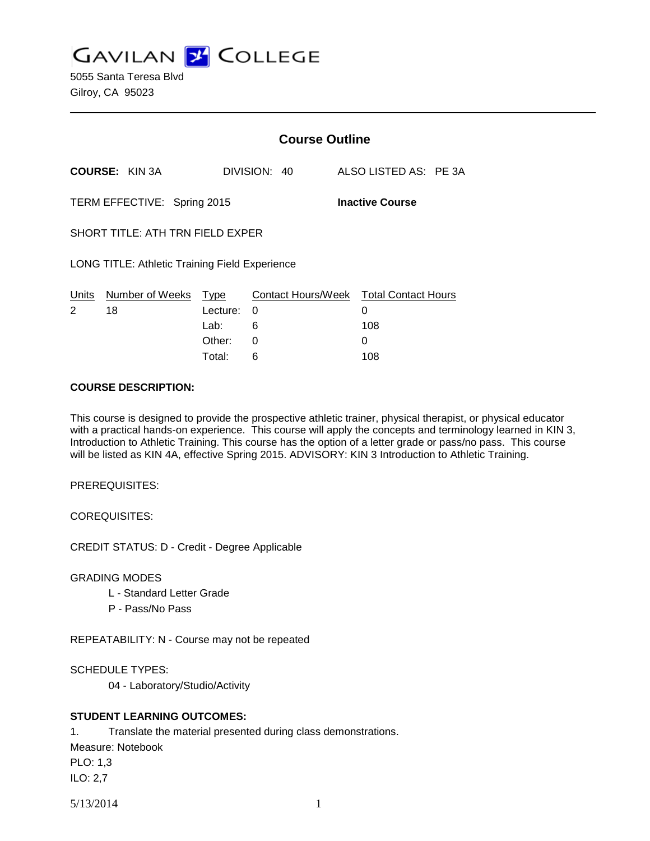**GAVILAN J COLLEGE** 

5055 Santa Teresa Blvd Gilroy, CA 95023

|                                                       |                       | <b>Course Outline</b> |              |                                        |
|-------------------------------------------------------|-----------------------|-----------------------|--------------|----------------------------------------|
|                                                       | <b>COURSE: KIN 3A</b> |                       | DIVISION: 40 | ALSO LISTED AS: PE 3A                  |
| TERM EFFECTIVE: Spring 2015<br><b>Inactive Course</b> |                       |                       |              |                                        |
| SHORT TITLE: ATH TRN FIELD EXPER                      |                       |                       |              |                                        |
| <b>LONG TITLE: Athletic Training Field Experience</b> |                       |                       |              |                                        |
| Units                                                 | Number of Weeks       | Type                  |              | Contact Hours/Week Total Contact Hours |
| $\mathcal{P}$                                         | 18                    | Lecture:              | $\Omega$     | 0                                      |
|                                                       |                       | Lab:                  | 6            | 108                                    |
|                                                       |                       | Other:                | 0            | 0                                      |
|                                                       |                       | Total:                | 6            | 108                                    |

#### **COURSE DESCRIPTION:**

This course is designed to provide the prospective athletic trainer, physical therapist, or physical educator with a practical hands-on experience. This course will apply the concepts and terminology learned in KIN 3, Introduction to Athletic Training. This course has the option of a letter grade or pass/no pass. This course will be listed as KIN 4A, effective Spring 2015. ADVISORY: KIN 3 Introduction to Athletic Training.

PREREQUISITES:

COREQUISITES:

CREDIT STATUS: D - Credit - Degree Applicable

GRADING MODES

- L Standard Letter Grade
- P Pass/No Pass

REPEATABILITY: N - Course may not be repeated

SCHEDULE TYPES:

04 - Laboratory/Studio/Activity

## **STUDENT LEARNING OUTCOMES:**

1. Translate the material presented during class demonstrations.

Measure: Notebook

PLO: 1,3

ILO: 2,7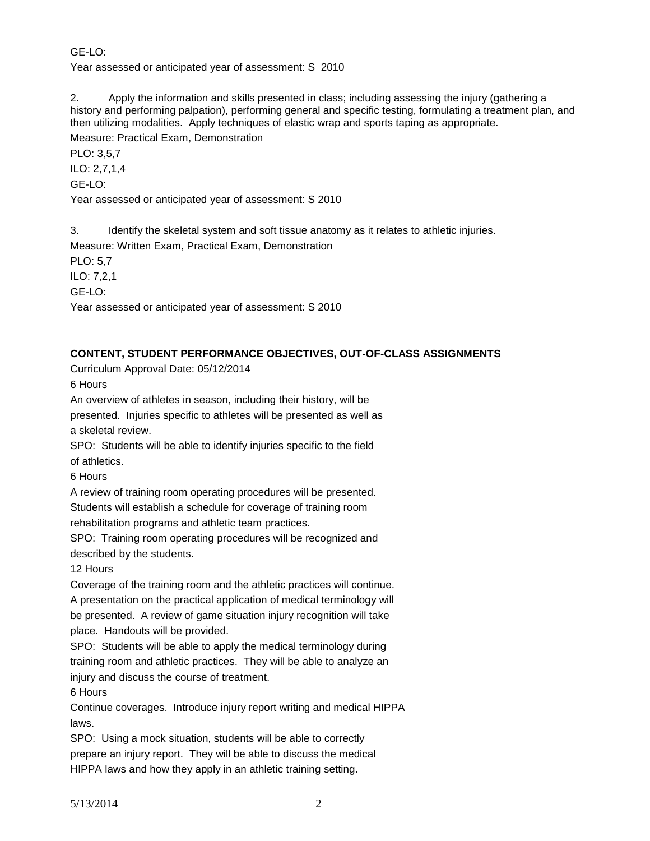GE-LO:

Year assessed or anticipated year of assessment: S 2010

2. Apply the information and skills presented in class; including assessing the injury (gathering a history and performing palpation), performing general and specific testing, formulating a treatment plan, and then utilizing modalities. Apply techniques of elastic wrap and sports taping as appropriate. Measure: Practical Exam, Demonstration

PLO: 3,5,7

ILO: 2,7,1,4

GE-LO:

Year assessed or anticipated year of assessment: S 2010

3. Identify the skeletal system and soft tissue anatomy as it relates to athletic injuries.

Measure: Written Exam, Practical Exam, Demonstration

PLO: 5,7

ILO: 7,2,1

GE-LO:

Year assessed or anticipated year of assessment: S 2010

# **CONTENT, STUDENT PERFORMANCE OBJECTIVES, OUT-OF-CLASS ASSIGNMENTS**

Curriculum Approval Date: 05/12/2014

6 Hours

An overview of athletes in season, including their history, will be presented. Injuries specific to athletes will be presented as well as a skeletal review.

SPO: Students will be able to identify injuries specific to the field of athletics.

6 Hours

A review of training room operating procedures will be presented. Students will establish a schedule for coverage of training room rehabilitation programs and athletic team practices.

SPO: Training room operating procedures will be recognized and described by the students.

12 Hours

Coverage of the training room and the athletic practices will continue. A presentation on the practical application of medical terminology will be presented. A review of game situation injury recognition will take place. Handouts will be provided.

SPO: Students will be able to apply the medical terminology during training room and athletic practices. They will be able to analyze an injury and discuss the course of treatment.

6 Hours

Continue coverages. Introduce injury report writing and medical HIPPA laws.

SPO: Using a mock situation, students will be able to correctly prepare an injury report. They will be able to discuss the medical HIPPA laws and how they apply in an athletic training setting.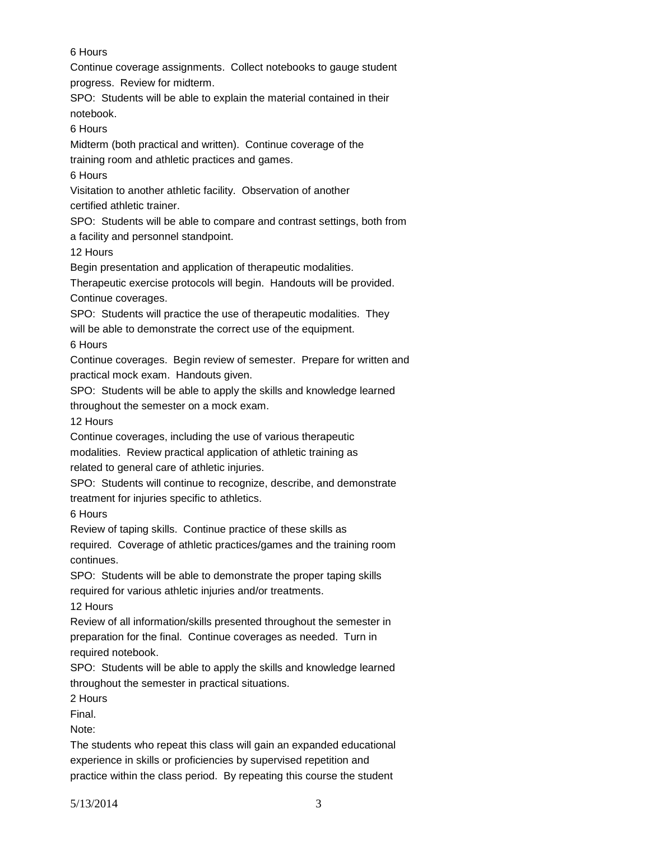# 6 Hours

Continue coverage assignments. Collect notebooks to gauge student progress. Review for midterm.

SPO: Students will be able to explain the material contained in their notebook.

6 Hours

Midterm (both practical and written). Continue coverage of the training room and athletic practices and games.

6 Hours

Visitation to another athletic facility. Observation of another certified athletic trainer.

SPO: Students will be able to compare and contrast settings, both from a facility and personnel standpoint.

12 Hours

Begin presentation and application of therapeutic modalities.

Therapeutic exercise protocols will begin. Handouts will be provided. Continue coverages.

SPO: Students will practice the use of therapeutic modalities. They

will be able to demonstrate the correct use of the equipment.

6 Hours

Continue coverages. Begin review of semester. Prepare for written and practical mock exam. Handouts given.

SPO: Students will be able to apply the skills and knowledge learned throughout the semester on a mock exam.

12 Hours

Continue coverages, including the use of various therapeutic

modalities. Review practical application of athletic training as

related to general care of athletic injuries.

SPO: Students will continue to recognize, describe, and demonstrate treatment for injuries specific to athletics.

6 Hours

Review of taping skills. Continue practice of these skills as

required. Coverage of athletic practices/games and the training room continues.

SPO: Students will be able to demonstrate the proper taping skills required for various athletic injuries and/or treatments.

12 Hours

Review of all information/skills presented throughout the semester in preparation for the final. Continue coverages as needed. Turn in required notebook.

SPO: Students will be able to apply the skills and knowledge learned throughout the semester in practical situations.

2 Hours

Final.

Note:

The students who repeat this class will gain an expanded educational experience in skills or proficiencies by supervised repetition and practice within the class period. By repeating this course the student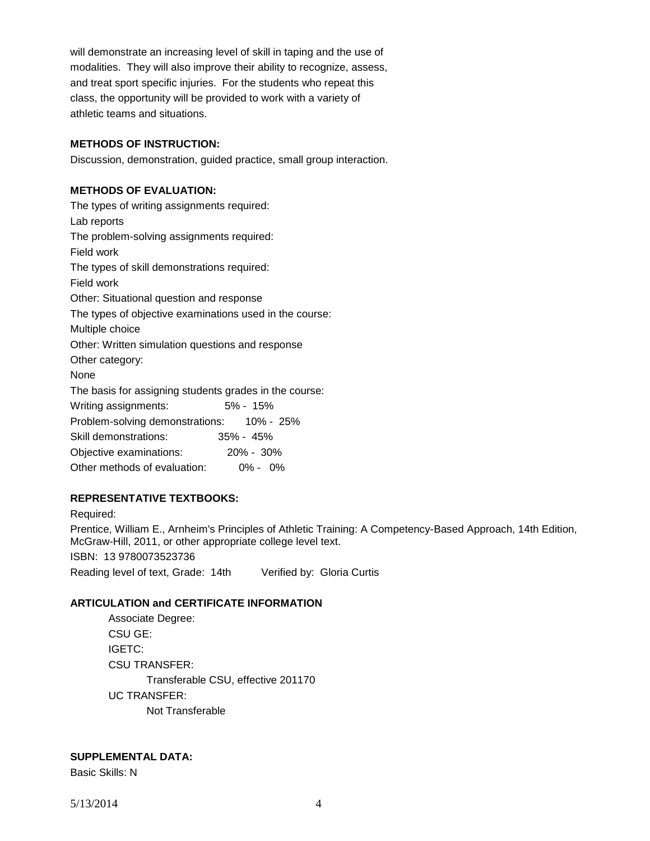will demonstrate an increasing level of skill in taping and the use of modalities. They will also improve their ability to recognize, assess, and treat sport specific injuries. For the students who repeat this class, the opportunity will be provided to work with a variety of athletic teams and situations.

## **METHODS OF INSTRUCTION:**

Discussion, demonstration, guided practice, small group interaction.

### **METHODS OF EVALUATION:**

The types of writing assignments required: Lab reports The problem-solving assignments required: Field work The types of skill demonstrations required: Field work Other: Situational question and response The types of objective examinations used in the course: Multiple choice Other: Written simulation questions and response Other category: None The basis for assigning students grades in the course: Writing assignments: 5% - 15% Problem-solving demonstrations: 10% - 25% Skill demonstrations: 35% - 45% Objective examinations: 20% - 30% Other methods of evaluation: 0% - 0%

## **REPRESENTATIVE TEXTBOOKS:**

Required: Prentice, William E., Arnheim's Principles of Athletic Training: A Competency-Based Approach, 14th Edition, McGraw-Hill, 2011, or other appropriate college level text. ISBN: 13 9780073523736 Reading level of text, Grade: 14th Verified by: Gloria Curtis

#### **ARTICULATION and CERTIFICATE INFORMATION**

Associate Degree: CSU GE: IGETC: CSU TRANSFER: Transferable CSU, effective 201170 UC TRANSFER: Not Transferable

#### **SUPPLEMENTAL DATA:**

Basic Skills: N